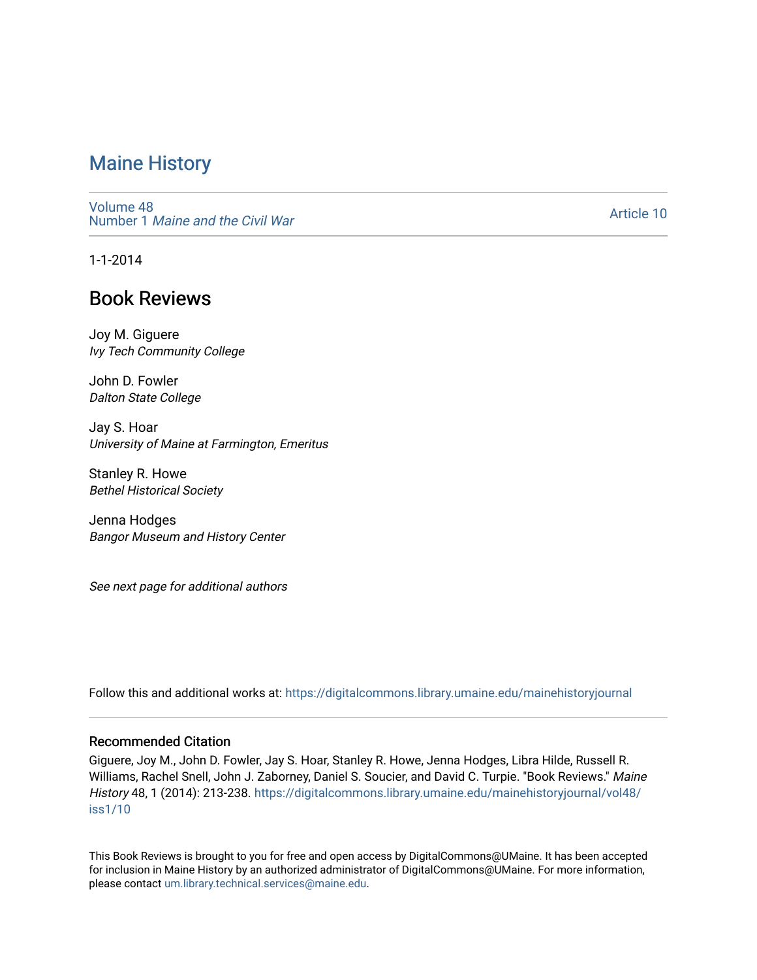[Volume 48](https://digitalcommons.library.umaine.edu/mainehistoryjournal/vol48) Number 1 [Maine and the Civil War](https://digitalcommons.library.umaine.edu/mainehistoryjournal/vol48/iss1)

[Article 10](https://digitalcommons.library.umaine.edu/mainehistoryjournal/vol48/iss1/10) 

1-1-2014

# Book Reviews

Joy M. Giguere Ivy Tech Community College

John D. Fowler Dalton State College

Jay S. Hoar University of Maine at Farmington, Emeritus

Stanley R. Howe Bethel Historical Society

Jenna Hodges Bangor Museum and History Center

See next page for additional authors

Follow this and additional works at: [https://digitalcommons.library.umaine.edu/mainehistoryjournal](https://digitalcommons.library.umaine.edu/mainehistoryjournal?utm_source=digitalcommons.library.umaine.edu%2Fmainehistoryjournal%2Fvol48%2Fiss1%2F10&utm_medium=PDF&utm_campaign=PDFCoverPages) 

### Recommended Citation

Giguere, Joy M., John D. Fowler, Jay S. Hoar, Stanley R. Howe, Jenna Hodges, Libra Hilde, Russell R. Williams, Rachel Snell, John J. Zaborney, Daniel S. Soucier, and David C. Turpie. "Book Reviews." Maine History 48, 1 (2014): 213-238. [https://digitalcommons.library.umaine.edu/mainehistoryjournal/vol48/](https://digitalcommons.library.umaine.edu/mainehistoryjournal/vol48/iss1/10?utm_source=digitalcommons.library.umaine.edu%2Fmainehistoryjournal%2Fvol48%2Fiss1%2F10&utm_medium=PDF&utm_campaign=PDFCoverPages) [iss1/10](https://digitalcommons.library.umaine.edu/mainehistoryjournal/vol48/iss1/10?utm_source=digitalcommons.library.umaine.edu%2Fmainehistoryjournal%2Fvol48%2Fiss1%2F10&utm_medium=PDF&utm_campaign=PDFCoverPages) 

This Book Reviews is brought to you for free and open access by DigitalCommons@UMaine. It has been accepted for inclusion in Maine History by an authorized administrator of DigitalCommons@UMaine. For more information, please contact [um.library.technical.services@maine.edu.](mailto:um.library.technical.services@maine.edu)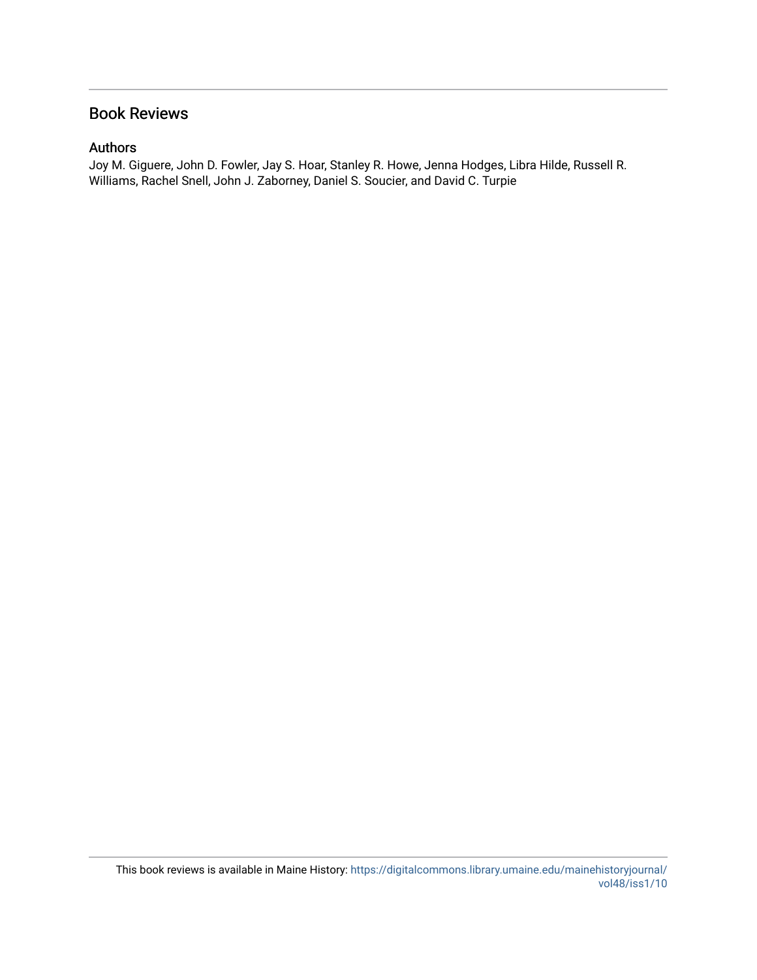## Book Reviews

## Authors

Joy M. Giguere, John D. Fowler, Jay S. Hoar, Stanley R. Howe, Jenna Hodges, Libra Hilde, Russell R. Williams, Rachel Snell, John J. Zaborney, Daniel S. Soucier, and David C. Turpie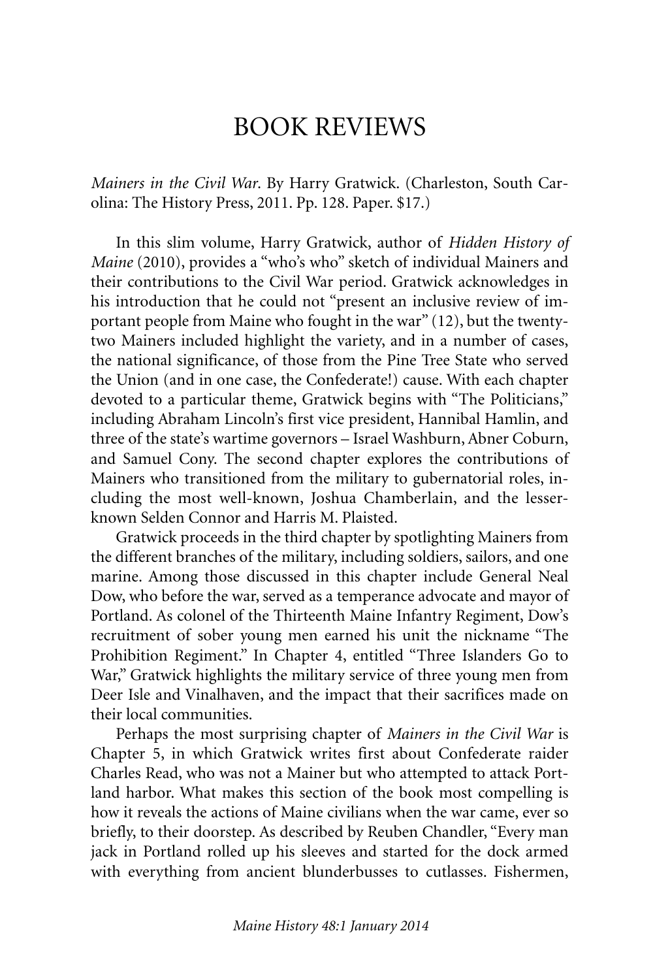# BOOK REVIEWS

*Mainers in the Civil War*. By Harry Gratwick. (Charleston, South Carolina: The History Press, 2011. Pp. 128. Paper. \$17.)

In this slim volume, Harry Gratwick, author of *Hidden History of Maine* (2010), provides a "who's who" sketch of individual Mainers and their contributions to the Civil War period. Gratwick acknowledges in his introduction that he could not "present an inclusive review of important people from Maine who fought in the war" (12), but the twentytwo Mainers included highlight the variety, and in a number of cases, the national significance, of those from the Pine Tree State who served the Union (and in one case, the Confederate!) cause. With each chapter devoted to a particular theme, Gratwick begins with "The Politicians," including Abraham Lincoln's first vice president, Hannibal Hamlin, and three of the state's wartime governors – Israel Washburn, Abner Coburn, and Samuel Cony. The second chapter explores the contributions of Mainers who transitioned from the military to gubernatorial roles, including the most well-known, Joshua Chamberlain, and the lesserknown Selden Connor and Harris M. Plaisted.

Gratwick proceeds in the third chapter by spotlighting Mainers from the different branches of the military, including soldiers, sailors, and one marine. Among those discussed in this chapter include General Neal Dow, who before the war, served as a temperance advocate and mayor of Portland. As colonel of the Thirteenth Maine Infantry Regiment, Dow's recruitment of sober young men earned his unit the nickname "The Prohibition Regiment." In Chapter 4, entitled "Three Islanders Go to War," Gratwick highlights the military service of three young men from Deer Isle and Vinalhaven, and the impact that their sacrifices made on their local communities.

Perhaps the most surprising chapter of *Mainers in the Civil War* is Chapter 5, in which Gratwick writes first about Confederate raider Charles Read, who was not a Mainer but who attempted to attack Portland harbor. What makes this section of the book most compelling is how it reveals the actions of Maine civilians when the war came, ever so briefly, to their doorstep. As described by Reuben Chandler, "Every man jack in Portland rolled up his sleeves and started for the dock armed with everything from ancient blunderbusses to cutlasses. Fishermen,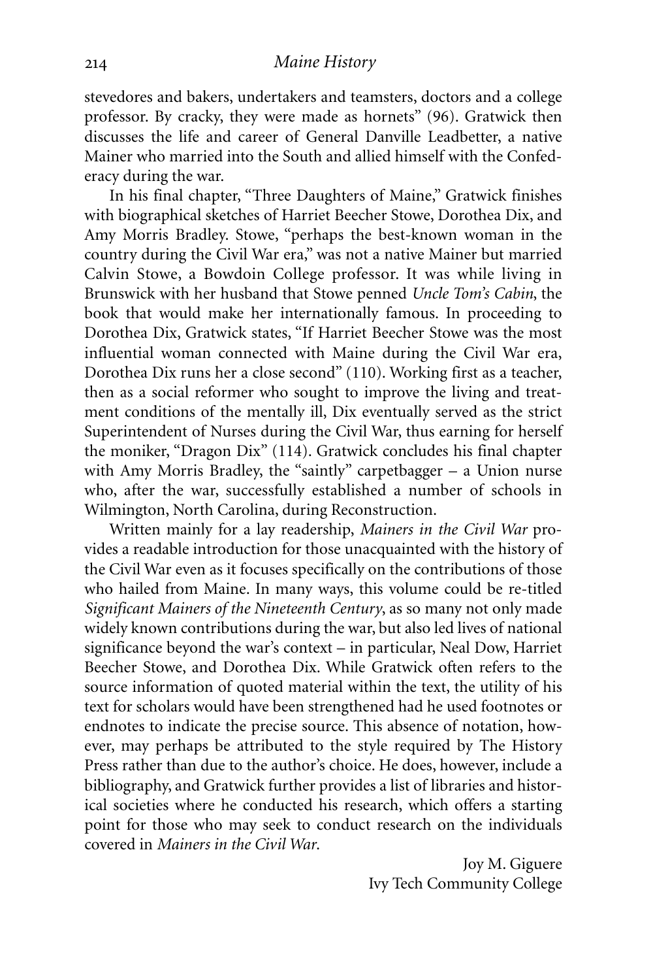stevedores and bakers, undertakers and teamsters, doctors and a college professor. By cracky, they were made as hornets" (96). Gratwick then discusses the life and career of General Danville Leadbetter, a native Mainer who married into the South and allied himself with the Confederacy during the war.

In his final chapter, "Three Daughters of Maine," Gratwick finishes with biographical sketches of Harriet Beecher Stowe, Dorothea Dix, and Amy Morris Bradley. Stowe, "perhaps the best-known woman in the country during the Civil War era," was not a native Mainer but married Calvin Stowe, a Bowdoin College professor. It was while living in Brunswick with her husband that Stowe penned *Uncle Tom's Cabin*, the book that would make her internationally famous. In proceeding to Dorothea Dix, Gratwick states, "If Harriet Beecher Stowe was the most influential woman connected with Maine during the Civil War era, Dorothea Dix runs her a close second" (110). Working first as a teacher, then as a social reformer who sought to improve the living and treatment conditions of the mentally ill, Dix eventually served as the strict Superintendent of Nurses during the Civil War, thus earning for herself the moniker, "Dragon Dix" (114). Gratwick concludes his final chapter with Amy Morris Bradley, the "saintly" carpetbagger – a Union nurse who, after the war, successfully established a number of schools in Wilmington, North Carolina, during Reconstruction.

Written mainly for a lay readership, *Mainers in the Civil War* provides a readable introduction for those unacquainted with the history of the Civil War even as it focuses specifically on the contributions of those who hailed from Maine. In many ways, this volume could be re-titled *Significant Mainers of the Nineteenth Century*, as so many not only made widely known contributions during the war, but also led lives of national significance beyond the war's context – in particular, Neal Dow, Harriet Beecher Stowe, and Dorothea Dix. While Gratwick often refers to the source information of quoted material within the text, the utility of his text for scholars would have been strengthened had he used footnotes or endnotes to indicate the precise source. This absence of notation, however, may perhaps be attributed to the style required by The History Press rather than due to the author's choice. He does, however, include a bibliography, and Gratwick further provides a list of libraries and historical societies where he conducted his research, which offers a starting point for those who may seek to conduct research on the individuals covered in *Mainers in the Civil War*.

> Joy M. Giguere Ivy Tech Community College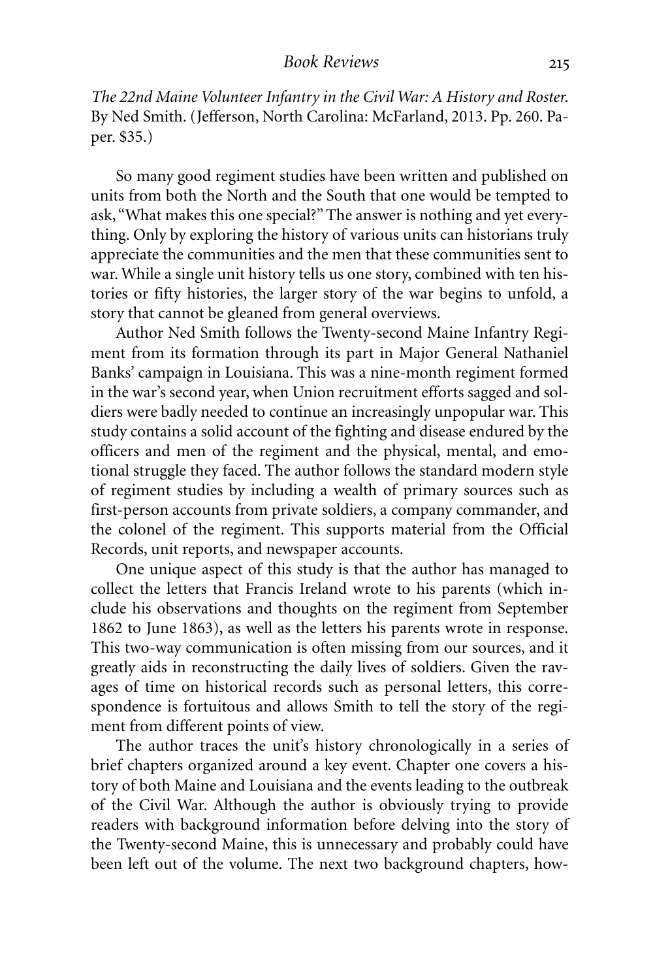*The 22nd Maine Volunteer Infantry in the Civil War: A History and Roster.* By Ned Smith. (Jefferson, North Carolina: McFarland, 2013. Pp. 260. Paper. \$35.)

So many good regiment studies have been written and published on units from both the North and the South that one would be tempted to ask, "What makes this one special?" The answer is nothing and yet everything. Only by exploring the history of various units can historians truly appreciate the communities and the men that these communities sent to war. While a single unit history tells us one story, combined with ten histories or fifty histories, the larger story of the war begins to unfold, a story that cannot be gleaned from general overviews.

Author Ned Smith follows the Twenty-second Maine Infantry Regiment from its formation through its part in Major General Nathaniel Banks' campaign in Louisiana. This was a nine-month regiment formed in the war's second year, when Union recruitment efforts sagged and soldiers were badly needed to continue an increasingly unpopular war. This study contains a solid account of the fighting and disease endured by the officers and men of the regiment and the physical, mental, and emotional struggle they faced. The author follows the standard modern style of regiment studies by including a wealth of primary sources such as first-person accounts from private soldiers, a company commander, and the colonel of the regiment. This supports material from the Official Records, unit reports, and newspaper accounts.

One unique aspect of this study is that the author has managed to collect the letters that Francis Ireland wrote to his parents (which include his observations and thoughts on the regiment from September 1862 to June 1863), as well as the letters his parents wrote in response. This two-way communication is often missing from our sources, and it greatly aids in reconstructing the daily lives of soldiers. Given the ravages of time on historical records such as personal letters, this correspondence is fortuitous and allows Smith to tell the story of the regiment from different points of view.

The author traces the unit's history chronologically in a series of brief chapters organized around a key event. Chapter one covers a history of both Maine and Louisiana and the events leading to the outbreak of the Civil War. Although the author is obviously trying to provide readers with background information before delving into the story of the Twenty-second Maine, this is unnecessary and probably could have been left out of the volume. The next two background chapters, how-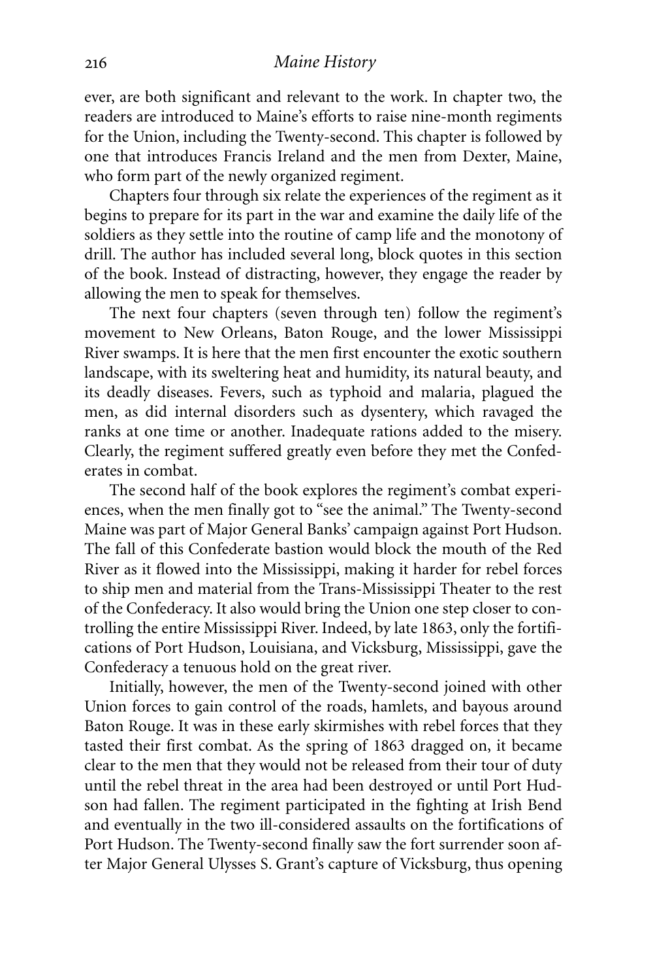ever, are both significant and relevant to the work. In chapter two, the readers are introduced to Maine's efforts to raise nine-month regiments for the Union, including the Twenty-second. This chapter is followed by one that introduces Francis Ireland and the men from Dexter, Maine, who form part of the newly organized regiment.

Chapters four through six relate the experiences of the regiment as it begins to prepare for its part in the war and examine the daily life of the soldiers as they settle into the routine of camp life and the monotony of drill. The author has included several long, block quotes in this section of the book. Instead of distracting, however, they engage the reader by allowing the men to speak for themselves.

The next four chapters (seven through ten) follow the regiment's movement to New Orleans, Baton Rouge, and the lower Mississippi River swamps. It is here that the men first encounter the exotic southern landscape, with its sweltering heat and humidity, its natural beauty, and its deadly diseases. Fevers, such as typhoid and malaria, plagued the men, as did internal disorders such as dysentery, which ravaged the ranks at one time or another. Inadequate rations added to the misery. Clearly, the regiment suffered greatly even before they met the Confederates in combat.

The second half of the book explores the regiment's combat experiences, when the men finally got to "see the animal." The Twenty-second Maine was part of Major General Banks' campaign against Port Hudson. The fall of this Confederate bastion would block the mouth of the Red River as it flowed into the Mississippi, making it harder for rebel forces to ship men and material from the Trans-Mississippi Theater to the rest of the Confederacy. It also would bring the Union one step closer to controlling the entire Mississippi River. Indeed, by late 1863, only the fortifications of Port Hudson, Louisiana, and Vicksburg, Mississippi, gave the Confederacy a tenuous hold on the great river.

Initially, however, the men of the Twenty-second joined with other Union forces to gain control of the roads, hamlets, and bayous around Baton Rouge. It was in these early skirmishes with rebel forces that they tasted their first combat. As the spring of 1863 dragged on, it became clear to the men that they would not be released from their tour of duty until the rebel threat in the area had been destroyed or until Port Hudson had fallen. The regiment participated in the fighting at Irish Bend and eventually in the two ill-considered assaults on the fortifications of Port Hudson. The Twenty-second finally saw the fort surrender soon after Major General Ulysses S. Grant's capture of Vicksburg, thus opening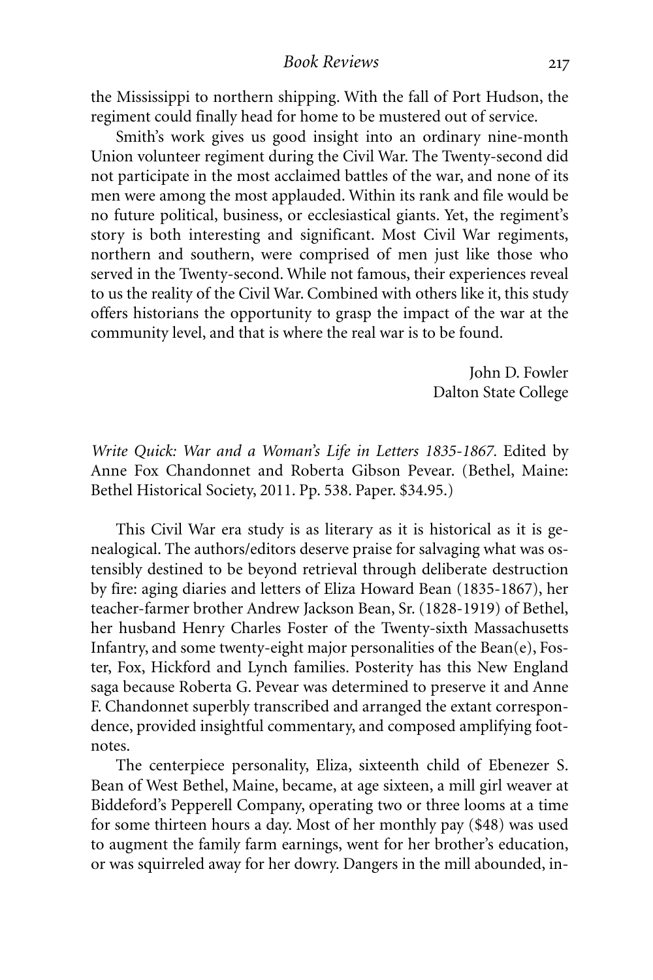the Mississippi to northern shipping. With the fall of Port Hudson, the regiment could finally head for home to be mustered out of service.

Smith's work gives us good insight into an ordinary nine-month Union volunteer regiment during the Civil War. The Twenty-second did not participate in the most acclaimed battles of the war, and none of its men were among the most applauded. Within its rank and file would be no future political, business, or ecclesiastical giants. Yet, the regiment's story is both interesting and significant. Most Civil War regiments, northern and southern, were comprised of men just like those who served in the Twenty-second. While not famous, their experiences reveal to us the reality of the Civil War. Combined with others like it, this study offers historians the opportunity to grasp the impact of the war at the community level, and that is where the real war is to be found.

> John D. Fowler Dalton State College

*Write Quick: War and a Woman's Life in Letters 1835-1867.* Edited by Anne Fox Chandonnet and Roberta Gibson Pevear. (Bethel, Maine: Bethel Historical Society, 2011. Pp. 538. Paper. \$34.95.)

This Civil War era study is as literary as it is historical as it is genealogical. The authors/editors deserve praise for salvaging what was ostensibly destined to be beyond retrieval through deliberate destruction by fire: aging diaries and letters of Eliza Howard Bean (1835-1867), her teacher-farmer brother Andrew Jackson Bean, Sr. (1828-1919) of Bethel, her husband Henry Charles Foster of the Twenty-sixth Massachusetts Infantry, and some twenty-eight major personalities of the Bean(e), Foster, Fox, Hickford and Lynch families. Posterity has this New England saga because Roberta G. Pevear was determined to preserve it and Anne F. Chandonnet superbly transcribed and arranged the extant correspondence, provided insightful commentary, and composed amplifying footnotes.

The centerpiece personality, Eliza, sixteenth child of Ebenezer S. Bean of West Bethel, Maine, became, at age sixteen, a mill girl weaver at Biddeford's Pepperell Company, operating two or three looms at a time for some thirteen hours a day. Most of her monthly pay (\$48) was used to augment the family farm earnings, went for her brother's education, or was squirreled away for her dowry. Dangers in the mill abounded, in-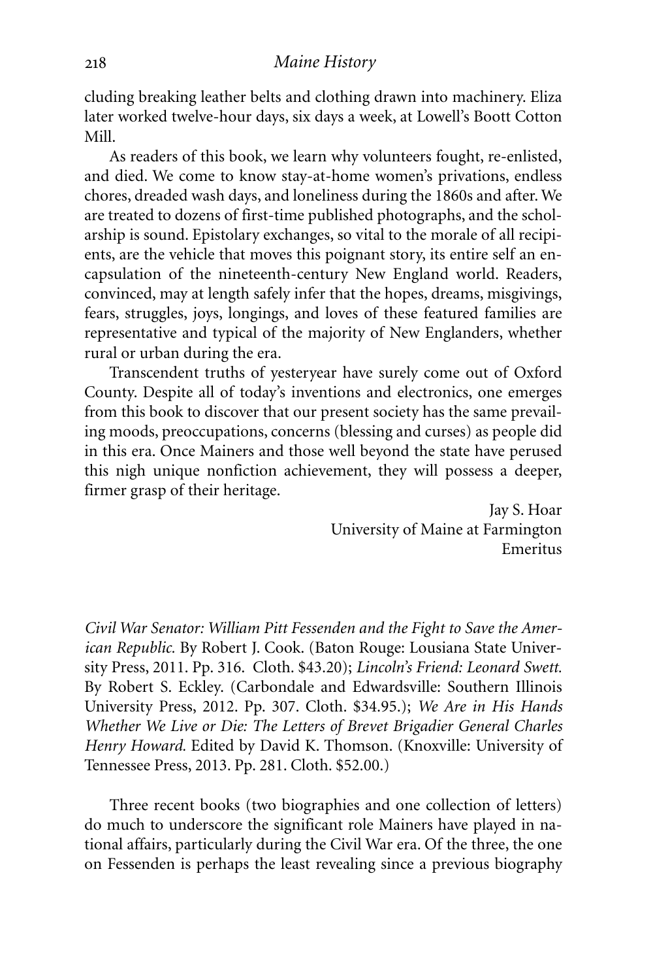cluding breaking leather belts and clothing drawn into machinery. Eliza later worked twelve-hour days, six days a week, at Lowell's Boott Cotton Mill.

As readers of this book, we learn why volunteers fought, re-enlisted, and died. We come to know stay-at-home women's privations, endless chores, dreaded wash days, and loneliness during the 1860s and after. We are treated to dozens of first-time published photographs, and the scholarship is sound. Epistolary exchanges, so vital to the morale of all recipients, are the vehicle that moves this poignant story, its entire self an encapsulation of the nineteenth-century New England world. Readers, convinced, may at length safely infer that the hopes, dreams, misgivings, fears, struggles, joys, longings, and loves of these featured families are representative and typical of the majority of New Englanders, whether rural or urban during the era.

Transcendent truths of yesteryear have surely come out of Oxford County. Despite all of today's inventions and electronics, one emerges from this book to discover that our present society has the same prevailing moods, preoccupations, concerns (blessing and curses) as people did in this era. Once Mainers and those well beyond the state have perused this nigh unique nonfiction achievement, they will possess a deeper, firmer grasp of their heritage.

> Jay S. Hoar University of Maine at Farmington Emeritus

*Civil War Senator: William Pitt Fessenden and the Fight to Save the American Republic.* By Robert J. Cook. (Baton Rouge: Lousiana State University Press, 2011. Pp. 316. Cloth. \$43.20); *Lincoln's Friend: Leonard Swett.* By Robert S. Eckley. (Carbondale and Edwardsville: Southern Illinois University Press, 2012. Pp. 307. Cloth. \$34.95.); *We Are in His Hands Whether We Live or Die: The Letters of Brevet Brigadier General Charles Henry Howard.* Edited by David K. Thomson. (Knoxville: University of Tennessee Press, 2013. Pp. 281. Cloth. \$52.00.)

Three recent books (two biographies and one collection of letters) do much to underscore the significant role Mainers have played in national affairs, particularly during the Civil War era. Of the three, the one on Fessenden is perhaps the least revealing since a previous biography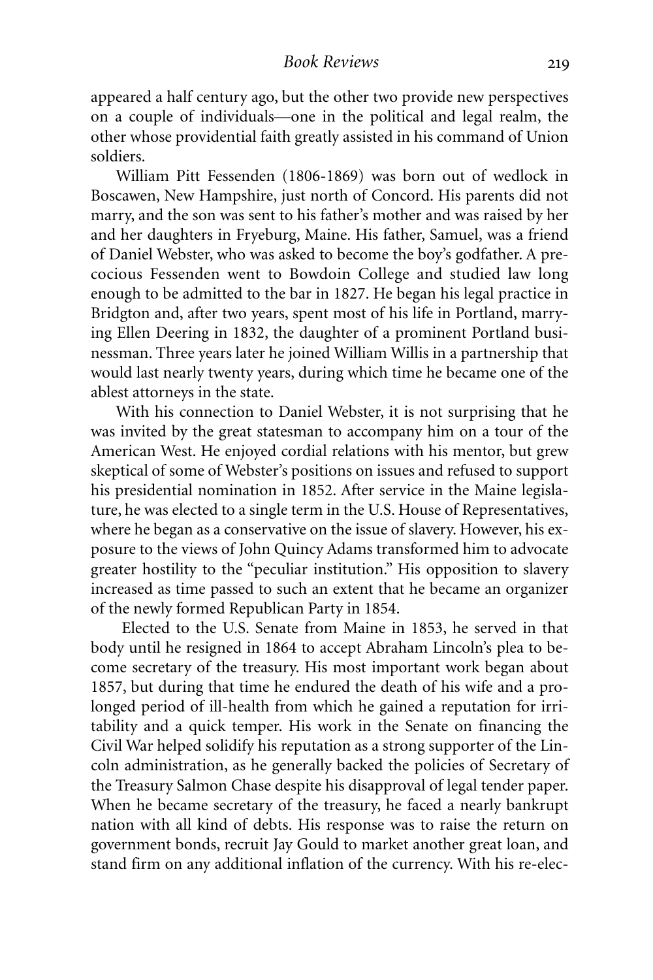appeared a half century ago, but the other two provide new perspectives on a couple of individuals—one in the political and legal realm, the other whose providential faith greatly assisted in his command of Union soldiers.

William Pitt Fessenden (1806-1869) was born out of wedlock in Boscawen, New Hampshire, just north of Concord. His parents did not marry, and the son was sent to his father's mother and was raised by her and her daughters in Fryeburg, Maine. His father, Samuel, was a friend of Daniel Webster, who was asked to become the boy's godfather. A precocious Fessenden went to Bowdoin College and studied law long enough to be admitted to the bar in 1827. He began his legal practice in Bridgton and, after two years, spent most of his life in Portland, marrying Ellen Deering in 1832, the daughter of a prominent Portland businessman. Three years later he joined William Willis in a partnership that would last nearly twenty years, during which time he became one of the ablest attorneys in the state.

With his connection to Daniel Webster, it is not surprising that he was invited by the great statesman to accompany him on a tour of the American West. He enjoyed cordial relations with his mentor, but grew skeptical of some of Webster's positions on issues and refused to support his presidential nomination in 1852. After service in the Maine legislature, he was elected to a single term in the U.S. House of Representatives, where he began as a conservative on the issue of slavery. However, his exposure to the views of John Quincy Adams transformed him to advocate greater hostility to the "peculiar institution." His opposition to slavery increased as time passed to such an extent that he became an organizer of the newly formed Republican Party in 1854.

Elected to the U.S. Senate from Maine in 1853, he served in that body until he resigned in 1864 to accept Abraham Lincoln's plea to become secretary of the treasury. His most important work began about 1857, but during that time he endured the death of his wife and a prolonged period of ill-health from which he gained a reputation for irritability and a quick temper. His work in the Senate on financing the Civil War helped solidify his reputation as a strong supporter of the Lincoln administration, as he generally backed the policies of Secretary of the Treasury Salmon Chase despite his disapproval of legal tender paper. When he became secretary of the treasury, he faced a nearly bankrupt nation with all kind of debts. His response was to raise the return on government bonds, recruit Jay Gould to market another great loan, and stand firm on any additional inflation of the currency. With his re-elec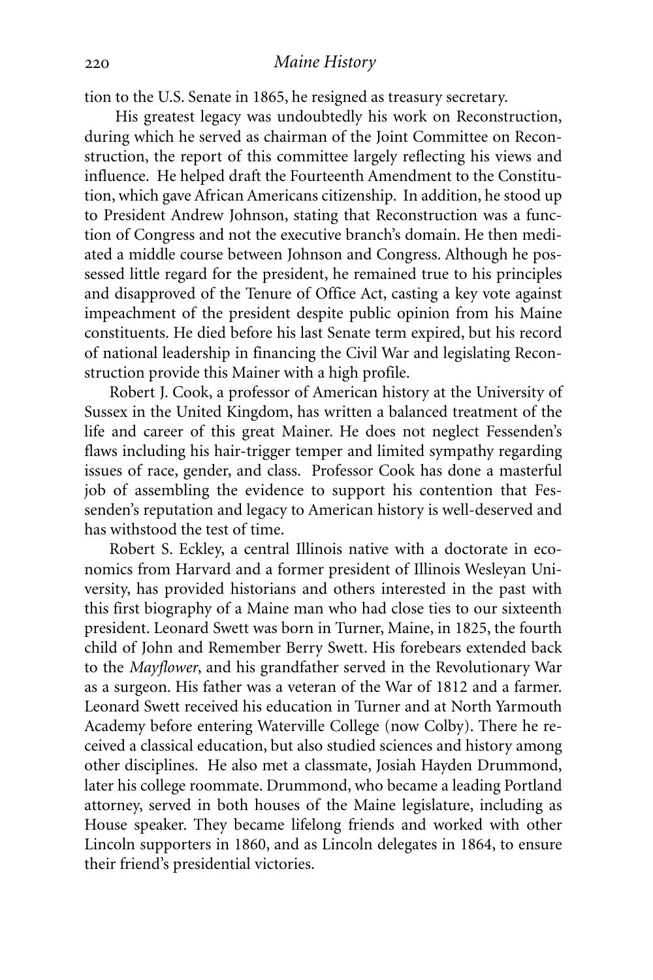tion to the U.S. Senate in 1865, he resigned as treasury secretary.

His greatest legacy was undoubtedly his work on Reconstruction, during which he served as chairman of the Joint Committee on Reconstruction, the report of this committee largely reflecting his views and influence. He helped draft the Fourteenth Amendment to the Constitution, which gave African Americans citizenship. In addition, he stood up to President Andrew Johnson, stating that Reconstruction was a function of Congress and not the executive branch's domain. He then mediated a middle course between Johnson and Congress. Although he possessed little regard for the president, he remained true to his principles and disapproved of the Tenure of Office Act, casting a key vote against impeachment of the president despite public opinion from his Maine constituents. He died before his last Senate term expired, but his record of national leadership in financing the Civil War and legislating Reconstruction provide this Mainer with a high profile.

Robert J. Cook, a professor of American history at the University of Sussex in the United Kingdom, has written a balanced treatment of the life and career of this great Mainer. He does not neglect Fessenden's flaws including his hair-trigger temper and limited sympathy regarding issues of race, gender, and class. Professor Cook has done a masterful job of assembling the evidence to support his contention that Fessenden's reputation and legacy to American history is well-deserved and has withstood the test of time.

Robert S. Eckley, a central Illinois native with a doctorate in economics from Harvard and a former president of Illinois Wesleyan University, has provided historians and others interested in the past with this first biography of a Maine man who had close ties to our sixteenth president. Leonard Swett was born in Turner, Maine, in 1825, the fourth child of John and Remember Berry Swett. His forebears extended back to the *Mayflower*, and his grandfather served in the Revolutionary War as a surgeon. His father was a veteran of the War of 1812 and a farmer. Leonard Swett received his education in Turner and at North Yarmouth Academy before entering Waterville College (now Colby). There he received a classical education, but also studied sciences and history among other disciplines. He also met a classmate, Josiah Hayden Drummond, later his college roommate. Drummond, who became a leading Portland attorney, served in both houses of the Maine legislature, including as House speaker. They became lifelong friends and worked with other Lincoln supporters in 1860, and as Lincoln delegates in 1864, to ensure their friend's presidential victories.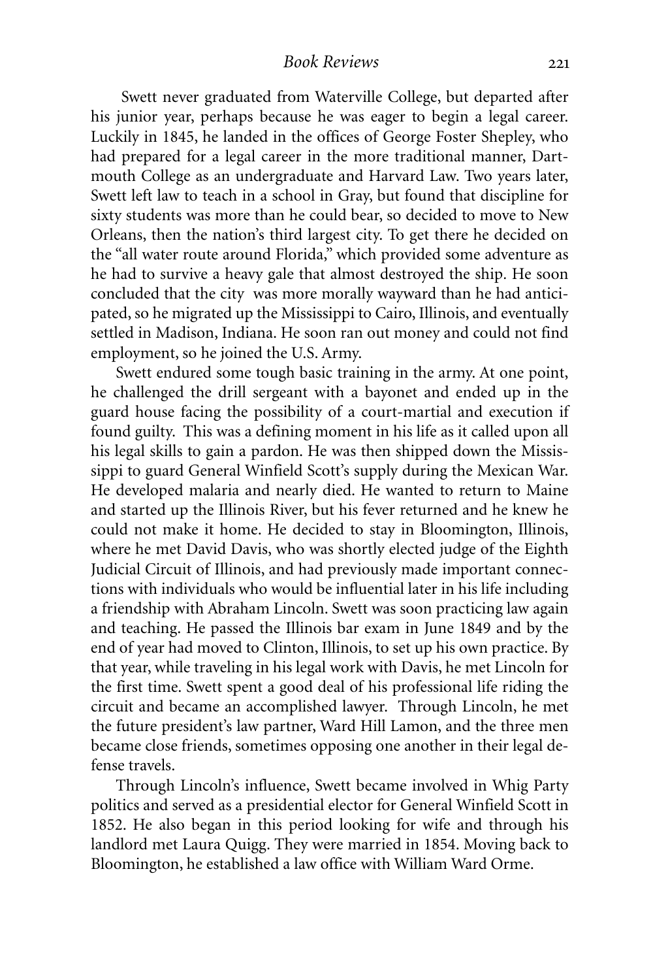Swett never graduated from Waterville College, but departed after his junior year, perhaps because he was eager to begin a legal career. Luckily in 1845, he landed in the offices of George Foster Shepley, who had prepared for a legal career in the more traditional manner, Dartmouth College as an undergraduate and Harvard Law. Two years later, Swett left law to teach in a school in Gray, but found that discipline for sixty students was more than he could bear, so decided to move to New Orleans, then the nation's third largest city. To get there he decided on the "all water route around Florida," which provided some adventure as he had to survive a heavy gale that almost destroyed the ship*.* He soon concluded that the city was more morally wayward than he had anticipated, so he migrated up the Mississippi to Cairo, Illinois, and eventually settled in Madison, Indiana. He soon ran out money and could not find employment, so he joined the U.S. Army.

Swett endured some tough basic training in the army. At one point, he challenged the drill sergeant with a bayonet and ended up in the guard house facing the possibility of a court-martial and execution if found guilty. This was a defining moment in his life as it called upon all his legal skills to gain a pardon. He was then shipped down the Mississippi to guard General Winfield Scott's supply during the Mexican War. He developed malaria and nearly died. He wanted to return to Maine and started up the Illinois River, but his fever returned and he knew he could not make it home. He decided to stay in Bloomington, Illinois, where he met David Davis, who was shortly elected judge of the Eighth Judicial Circuit of Illinois, and had previously made important connections with individuals who would be influential later in his life including a friendship with Abraham Lincoln. Swett was soon practicing law again and teaching. He passed the Illinois bar exam in June 1849 and by the end of year had moved to Clinton, Illinois, to set up his own practice. By that year, while traveling in his legal work with Davis, he met Lincoln for the first time. Swett spent a good deal of his professional life riding the circuit and became an accomplished lawyer. Through Lincoln, he met the future president's law partner, Ward Hill Lamon, and the three men became close friends, sometimes opposing one another in their legal defense travels.

Through Lincoln's influence, Swett became involved in Whig Party politics and served as a presidential elector for General Winfield Scott in 1852. He also began in this period looking for wife and through his landlord met Laura Quigg. They were married in 1854. Moving back to Bloomington, he established a law office with William Ward Orme.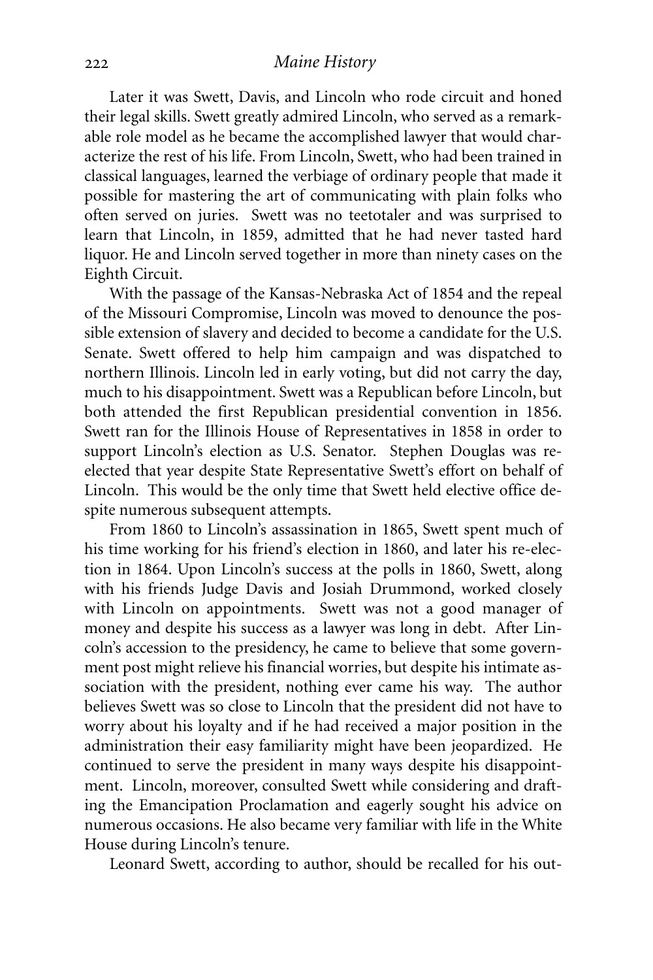Later it was Swett, Davis, and Lincoln who rode circuit and honed their legal skills. Swett greatly admired Lincoln, who served as a remarkable role model as he became the accomplished lawyer that would characterize the rest of his life. From Lincoln, Swett, who had been trained in classical languages, learned the verbiage of ordinary people that made it possible for mastering the art of communicating with plain folks who often served on juries. Swett was no teetotaler and was surprised to learn that Lincoln, in 1859, admitted that he had never tasted hard liquor. He and Lincoln served together in more than ninety cases on the Eighth Circuit.

With the passage of the Kansas-Nebraska Act of 1854 and the repeal of the Missouri Compromise, Lincoln was moved to denounce the possible extension of slavery and decided to become a candidate for the U.S. Senate. Swett offered to help him campaign and was dispatched to northern Illinois. Lincoln led in early voting, but did not carry the day, much to his disappointment. Swett was a Republican before Lincoln, but both attended the first Republican presidential convention in 1856. Swett ran for the Illinois House of Representatives in 1858 in order to support Lincoln's election as U.S. Senator. Stephen Douglas was reelected that year despite State Representative Swett's effort on behalf of Lincoln. This would be the only time that Swett held elective office despite numerous subsequent attempts.

From 1860 to Lincoln's assassination in 1865, Swett spent much of his time working for his friend's election in 1860, and later his re-election in 1864. Upon Lincoln's success at the polls in 1860, Swett, along with his friends Judge Davis and Josiah Drummond, worked closely with Lincoln on appointments. Swett was not a good manager of money and despite his success as a lawyer was long in debt. After Lincoln's accession to the presidency, he came to believe that some government post might relieve his financial worries, but despite his intimate association with the president, nothing ever came his way. The author believes Swett was so close to Lincoln that the president did not have to worry about his loyalty and if he had received a major position in the administration their easy familiarity might have been jeopardized. He continued to serve the president in many ways despite his disappointment. Lincoln, moreover, consulted Swett while considering and drafting the Emancipation Proclamation and eagerly sought his advice on numerous occasions. He also became very familiar with life in the White House during Lincoln's tenure.

Leonard Swett, according to author, should be recalled for his out-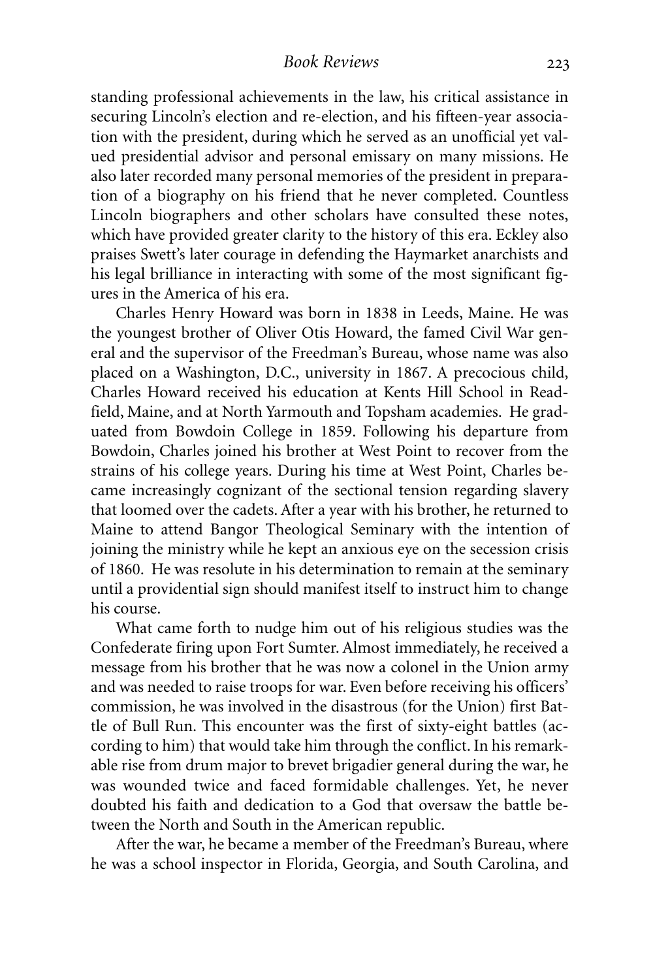standing professional achievements in the law, his critical assistance in securing Lincoln's election and re-election, and his fifteen-year association with the president, during which he served as an unofficial yet valued presidential advisor and personal emissary on many missions. He also later recorded many personal memories of the president in preparation of a biography on his friend that he never completed. Countless Lincoln biographers and other scholars have consulted these notes, which have provided greater clarity to the history of this era. Eckley also praises Swett's later courage in defending the Haymarket anarchists and his legal brilliance in interacting with some of the most significant figures in the America of his era.

Charles Henry Howard was born in 1838 in Leeds, Maine. He was the youngest brother of Oliver Otis Howard, the famed Civil War general and the supervisor of the Freedman's Bureau, whose name was also placed on a Washington, D.C., university in 1867. A precocious child, Charles Howard received his education at Kents Hill School in Readfield, Maine, and at North Yarmouth and Topsham academies. He graduated from Bowdoin College in 1859. Following his departure from Bowdoin, Charles joined his brother at West Point to recover from the strains of his college years. During his time at West Point, Charles became increasingly cognizant of the sectional tension regarding slavery that loomed over the cadets. After a year with his brother, he returned to Maine to attend Bangor Theological Seminary with the intention of joining the ministry while he kept an anxious eye on the secession crisis of 1860. He was resolute in his determination to remain at the seminary until a providential sign should manifest itself to instruct him to change his course.

What came forth to nudge him out of his religious studies was the Confederate firing upon Fort Sumter. Almost immediately, he received a message from his brother that he was now a colonel in the Union army and was needed to raise troops for war. Even before receiving his officers' commission, he was involved in the disastrous (for the Union) first Battle of Bull Run. This encounter was the first of sixty-eight battles (according to him) that would take him through the conflict. In his remarkable rise from drum major to brevet brigadier general during the war, he was wounded twice and faced formidable challenges. Yet, he never doubted his faith and dedication to a God that oversaw the battle between the North and South in the American republic.

After the war, he became a member of the Freedman's Bureau, where he was a school inspector in Florida, Georgia, and South Carolina, and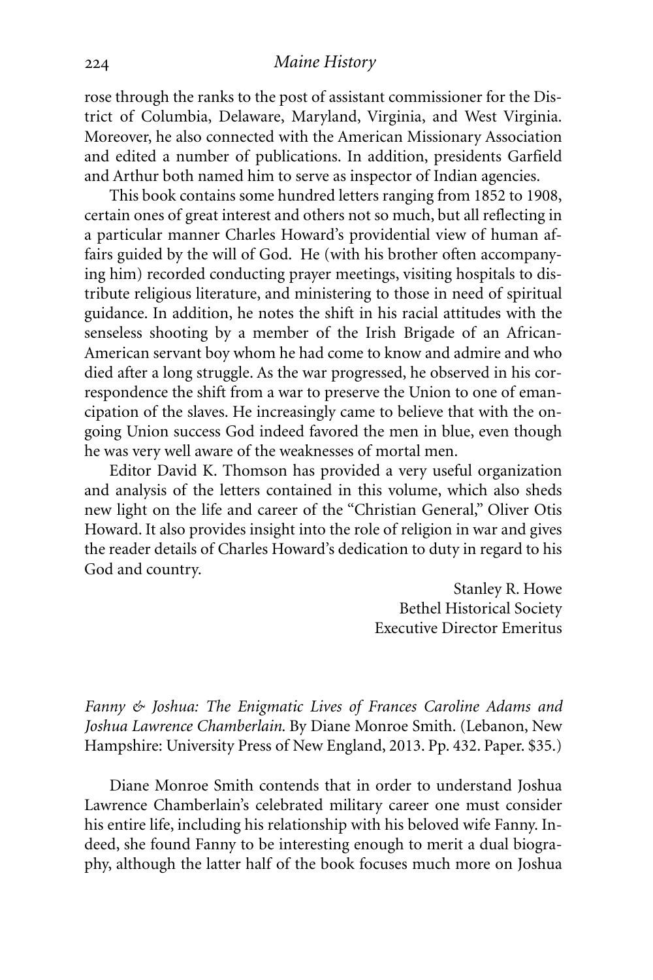rose through the ranks to the post of assistant commissioner for the District of Columbia, Delaware, Maryland, Virginia, and West Virginia. Moreover, he also connected with the American Missionary Association and edited a number of publications. In addition, presidents Garfield and Arthur both named him to serve as inspector of Indian agencies.

This book contains some hundred letters ranging from 1852 to 1908, certain ones of great interest and others not so much, but all reflecting in a particular manner Charles Howard's providential view of human affairs guided by the will of God. He (with his brother often accompanying him) recorded conducting prayer meetings, visiting hospitals to distribute religious literature, and ministering to those in need of spiritual guidance. In addition, he notes the shift in his racial attitudes with the senseless shooting by a member of the Irish Brigade of an African-American servant boy whom he had come to know and admire and who died after a long struggle. As the war progressed, he observed in his correspondence the shift from a war to preserve the Union to one of emancipation of the slaves. He increasingly came to believe that with the ongoing Union success God indeed favored the men in blue, even though he was very well aware of the weaknesses of mortal men.

Editor David K. Thomson has provided a very useful organization and analysis of the letters contained in this volume, which also sheds new light on the life and career of the "Christian General," Oliver Otis Howard. It also provides insight into the role of religion in war and gives the reader details of Charles Howard's dedication to duty in regard to his God and country.

> Stanley R. Howe Bethel Historical Society Executive Director Emeritus

*Fanny & Joshua: The Enigmatic Lives of Frances Caroline Adams and Joshua Lawrence Chamberlain*. By Diane Monroe Smith. (Lebanon, New Hampshire: University Press of New England, 2013. Pp. 432. Paper. \$35.)

Diane Monroe Smith contends that in order to understand Joshua Lawrence Chamberlain's celebrated military career one must consider his entire life, including his relationship with his beloved wife Fanny. Indeed, she found Fanny to be interesting enough to merit a dual biography, although the latter half of the book focuses much more on Joshua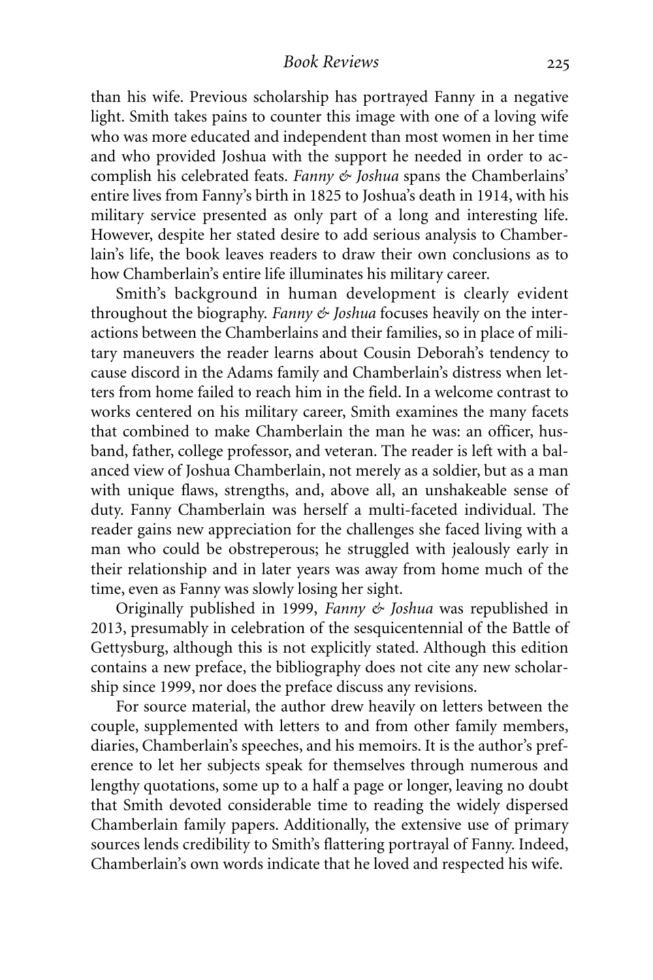#### *Book Reviews*

than his wife. Previous scholarship has portrayed Fanny in a negative light. Smith takes pains to counter this image with one of a loving wife who was more educated and independent than most women in her time and who provided Joshua with the support he needed in order to accomplish his celebrated feats. *Fanny & Joshua* spans the Chamberlains' entire lives from Fanny's birth in 1825 to Joshua's death in 1914, with his military service presented as only part of a long and interesting life. However, despite her stated desire to add serious analysis to Chamberlain's life, the book leaves readers to draw their own conclusions as to how Chamberlain's entire life illuminates his military career.

Smith's background in human development is clearly evident throughout the biography. *Fanny & Joshua* focuses heavily on the interactions between the Chamberlains and their families, so in place of military maneuvers the reader learns about Cousin Deborah's tendency to cause discord in the Adams family and Chamberlain's distress when letters from home failed to reach him in the field. In a welcome contrast to works centered on his military career, Smith examines the many facets that combined to make Chamberlain the man he was: an officer, husband, father, college professor, and veteran. The reader is left with a balanced view of Joshua Chamberlain, not merely as a soldier, but as a man with unique flaws, strengths, and, above all, an unshakeable sense of duty. Fanny Chamberlain was herself a multi-faceted individual. The reader gains new appreciation for the challenges she faced living with a man who could be obstreperous; he struggled with jealously early in their relationship and in later years was away from home much of the time, even as Fanny was slowly losing her sight.

Originally published in 1999, *Fanny & Joshua* was republished in 2013, presumably in celebration of the sesquicentennial of the Battle of Gettysburg, although this is not explicitly stated. Although this edition contains a new preface, the bibliography does not cite any new scholarship since 1999, nor does the preface discuss any revisions.

For source material, the author drew heavily on letters between the couple, supplemented with letters to and from other family members, diaries, Chamberlain's speeches, and his memoirs. It is the author's preference to let her subjects speak for themselves through numerous and lengthy quotations, some up to a half a page or longer, leaving no doubt that Smith devoted considerable time to reading the widely dispersed Chamberlain family papers. Additionally, the extensive use of primary sources lends credibility to Smith's flattering portrayal of Fanny. Indeed, Chamberlain's own words indicate that he loved and respected his wife.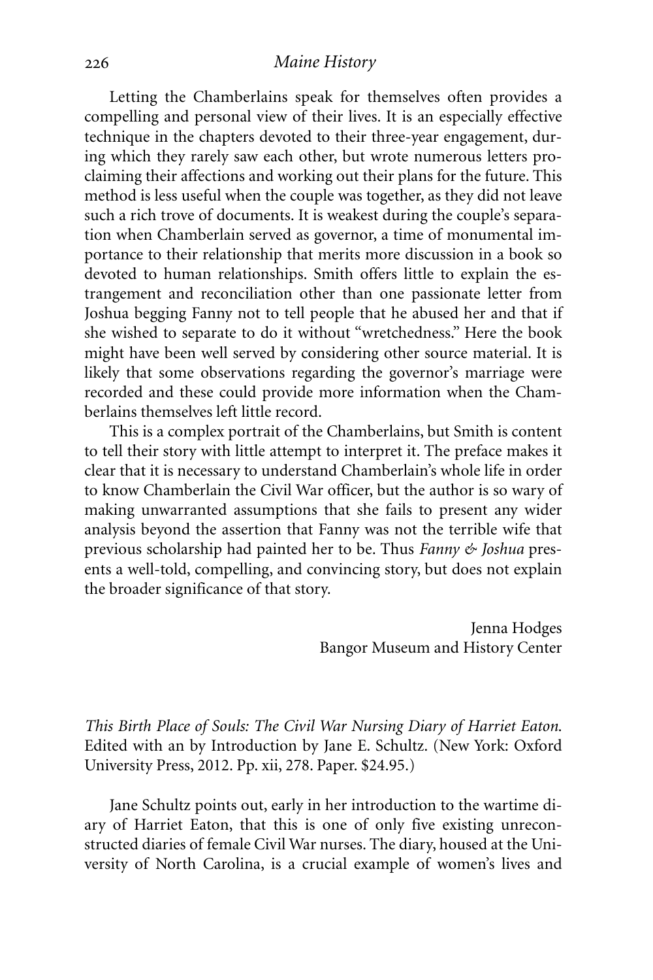Letting the Chamberlains speak for themselves often provides a compelling and personal view of their lives. It is an especially effective technique in the chapters devoted to their three-year engagement, during which they rarely saw each other, but wrote numerous letters proclaiming their affections and working out their plans for the future. This method is less useful when the couple was together, as they did not leave such a rich trove of documents. It is weakest during the couple's separation when Chamberlain served as governor, a time of monumental importance to their relationship that merits more discussion in a book so devoted to human relationships. Smith offers little to explain the estrangement and reconciliation other than one passionate letter from Joshua begging Fanny not to tell people that he abused her and that if she wished to separate to do it without "wretchedness." Here the book might have been well served by considering other source material. It is likely that some observations regarding the governor's marriage were recorded and these could provide more information when the Chamberlains themselves left little record.

This is a complex portrait of the Chamberlains, but Smith is content to tell their story with little attempt to interpret it. The preface makes it clear that it is necessary to understand Chamberlain's whole life in order to know Chamberlain the Civil War officer, but the author is so wary of making unwarranted assumptions that she fails to present any wider analysis beyond the assertion that Fanny was not the terrible wife that previous scholarship had painted her to be. Thus *Fanny & Joshua* presents a well-told, compelling, and convincing story, but does not explain the broader significance of that story.

> Jenna Hodges Bangor Museum and History Center

*This Birth Place of Souls: The Civil War Nursing Diary of Harriet Eaton*. Edited with an by Introduction by Jane E. Schultz. (New York: Oxford University Press, 2012. Pp. xii, 278. Paper. \$24.95.)

Jane Schultz points out, early in her introduction to the wartime diary of Harriet Eaton, that this is one of only five existing unreconstructed diaries of female Civil War nurses. The diary, housed at the University of North Carolina, is a crucial example of women's lives and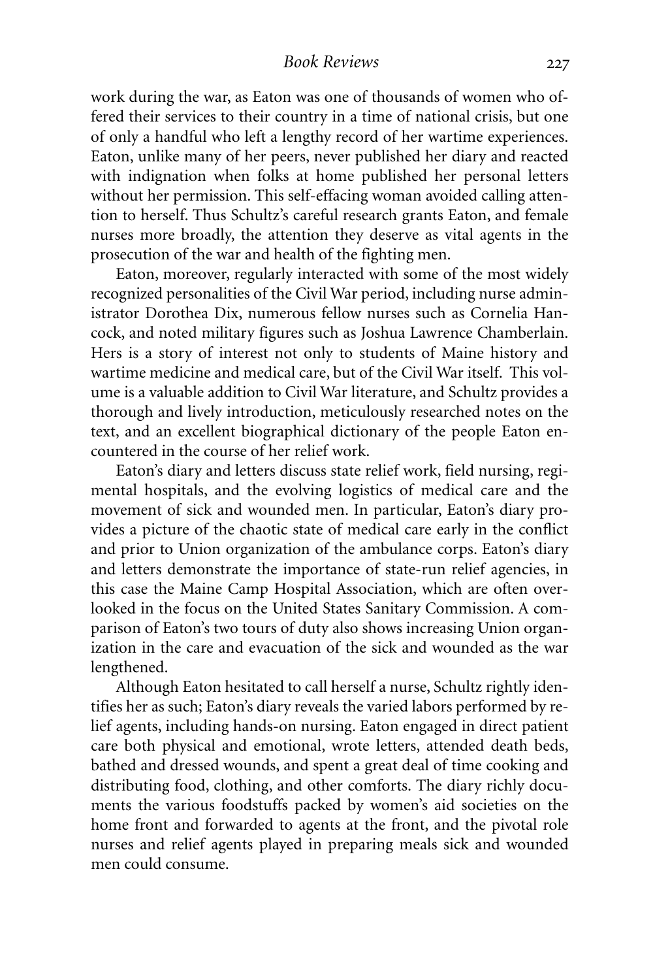#### *Book Reviews*

work during the war, as Eaton was one of thousands of women who offered their services to their country in a time of national crisis, but one of only a handful who left a lengthy record of her wartime experiences. Eaton, unlike many of her peers, never published her diary and reacted with indignation when folks at home published her personal letters without her permission. This self-effacing woman avoided calling attention to herself. Thus Schultz's careful research grants Eaton, and female nurses more broadly, the attention they deserve as vital agents in the prosecution of the war and health of the fighting men.

Eaton, moreover, regularly interacted with some of the most widely recognized personalities of the Civil War period, including nurse administrator Dorothea Dix, numerous fellow nurses such as Cornelia Hancock, and noted military figures such as Joshua Lawrence Chamberlain. Hers is a story of interest not only to students of Maine history and wartime medicine and medical care, but of the Civil War itself. This volume is a valuable addition to Civil War literature, and Schultz provides a thorough and lively introduction, meticulously researched notes on the text, and an excellent biographical dictionary of the people Eaton encountered in the course of her relief work.

Eaton's diary and letters discuss state relief work, field nursing, regimental hospitals, and the evolving logistics of medical care and the movement of sick and wounded men. In particular, Eaton's diary provides a picture of the chaotic state of medical care early in the conflict and prior to Union organization of the ambulance corps. Eaton's diary and letters demonstrate the importance of state-run relief agencies, in this case the Maine Camp Hospital Association, which are often overlooked in the focus on the United States Sanitary Commission. A comparison of Eaton's two tours of duty also shows increasing Union organization in the care and evacuation of the sick and wounded as the war lengthened.

Although Eaton hesitated to call herself a nurse, Schultz rightly identifies her as such; Eaton's diary reveals the varied labors performed by relief agents, including hands-on nursing. Eaton engaged in direct patient care both physical and emotional, wrote letters, attended death beds, bathed and dressed wounds, and spent a great deal of time cooking and distributing food, clothing, and other comforts. The diary richly documents the various foodstuffs packed by women's aid societies on the home front and forwarded to agents at the front, and the pivotal role nurses and relief agents played in preparing meals sick and wounded men could consume.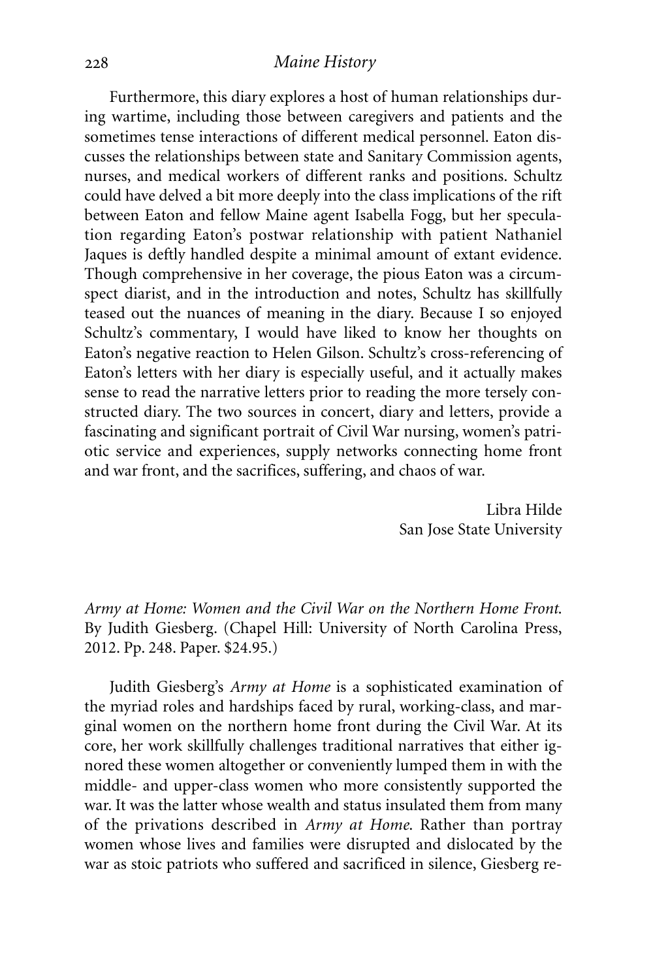Furthermore, this diary explores a host of human relationships during wartime, including those between caregivers and patients and the sometimes tense interactions of different medical personnel. Eaton discusses the relationships between state and Sanitary Commission agents, nurses, and medical workers of different ranks and positions. Schultz could have delved a bit more deeply into the class implications of the rift between Eaton and fellow Maine agent Isabella Fogg, but her speculation regarding Eaton's postwar relationship with patient Nathaniel Jaques is deftly handled despite a minimal amount of extant evidence. Though comprehensive in her coverage, the pious Eaton was a circumspect diarist, and in the introduction and notes, Schultz has skillfully teased out the nuances of meaning in the diary. Because I so enjoyed Schultz's commentary, I would have liked to know her thoughts on Eaton's negative reaction to Helen Gilson. Schultz's cross-referencing of Eaton's letters with her diary is especially useful, and it actually makes sense to read the narrative letters prior to reading the more tersely constructed diary. The two sources in concert, diary and letters, provide a fascinating and significant portrait of Civil War nursing, women's patriotic service and experiences, supply networks connecting home front and war front, and the sacrifices, suffering, and chaos of war.

> Libra Hilde San Jose State University

*Army at Home: Women and the Civil War on the Northern Home Front*. By Judith Giesberg. (Chapel Hill: University of North Carolina Press, 2012. Pp. 248. Paper. \$24.95.)

Judith Giesberg's *Army at Home* is a sophisticated examination of the myriad roles and hardships faced by rural, working-class, and marginal women on the northern home front during the Civil War. At its core, her work skillfully challenges traditional narratives that either ignored these women altogether or conveniently lumped them in with the middle- and upper-class women who more consistently supported the war. It was the latter whose wealth and status insulated them from many of the privations described in *Army at Home*. Rather than portray women whose lives and families were disrupted and dislocated by the war as stoic patriots who suffered and sacrificed in silence, Giesberg re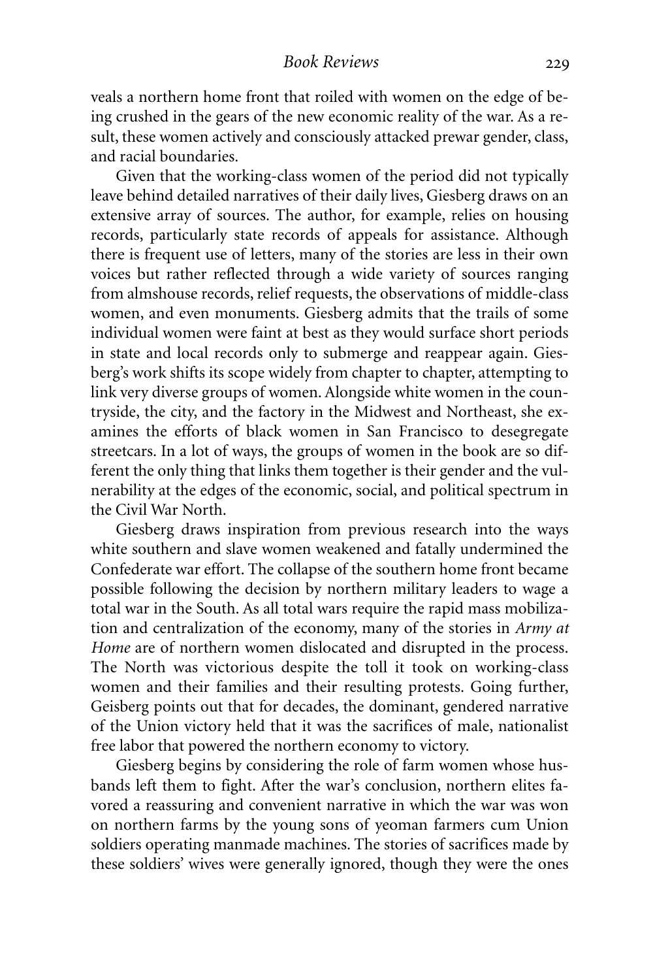veals a northern home front that roiled with women on the edge of being crushed in the gears of the new economic reality of the war. As a result, these women actively and consciously attacked prewar gender, class, and racial boundaries.

Given that the working-class women of the period did not typically leave behind detailed narratives of their daily lives, Giesberg draws on an extensive array of sources. The author, for example, relies on housing records, particularly state records of appeals for assistance. Although there is frequent use of letters, many of the stories are less in their own voices but rather reflected through a wide variety of sources ranging from almshouse records, relief requests, the observations of middle-class women, and even monuments. Giesberg admits that the trails of some individual women were faint at best as they would surface short periods in state and local records only to submerge and reappear again. Giesberg's work shifts its scope widely from chapter to chapter, attempting to link very diverse groups of women. Alongside white women in the countryside, the city, and the factory in the Midwest and Northeast, she examines the efforts of black women in San Francisco to desegregate streetcars. In a lot of ways, the groups of women in the book are so different the only thing that links them together is their gender and the vulnerability at the edges of the economic, social, and political spectrum in the Civil War North.

Giesberg draws inspiration from previous research into the ways white southern and slave women weakened and fatally undermined the Confederate war effort. The collapse of the southern home front became possible following the decision by northern military leaders to wage a total war in the South. As all total wars require the rapid mass mobilization and centralization of the economy, many of the stories in *Army at Home* are of northern women dislocated and disrupted in the process. The North was victorious despite the toll it took on working-class women and their families and their resulting protests. Going further, Geisberg points out that for decades, the dominant, gendered narrative of the Union victory held that it was the sacrifices of male, nationalist free labor that powered the northern economy to victory.

Giesberg begins by considering the role of farm women whose husbands left them to fight. After the war's conclusion, northern elites favored a reassuring and convenient narrative in which the war was won on northern farms by the young sons of yeoman farmers cum Union soldiers operating manmade machines. The stories of sacrifices made by these soldiers' wives were generally ignored, though they were the ones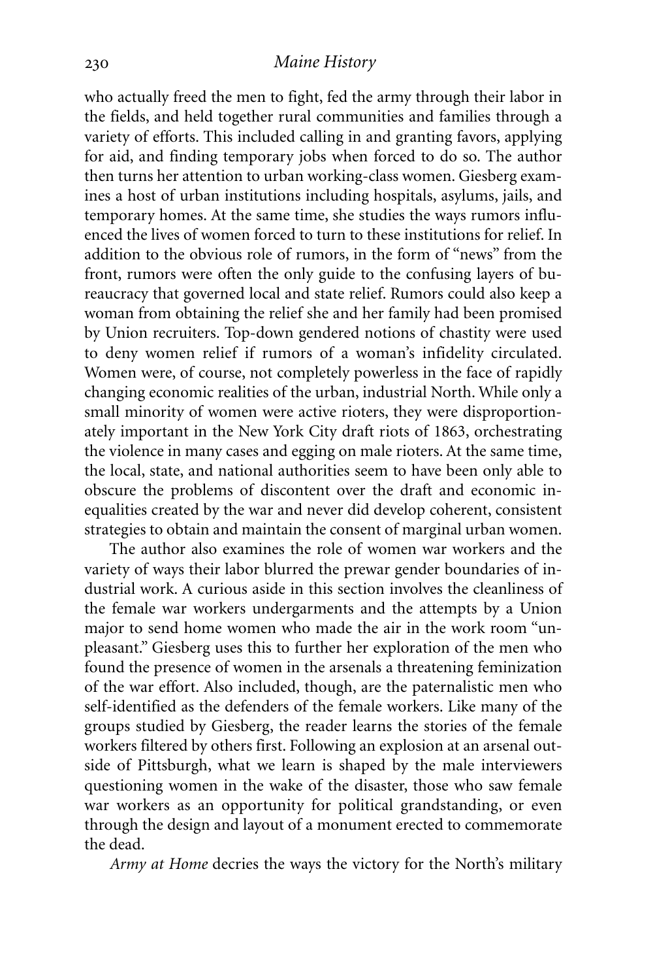who actually freed the men to fight, fed the army through their labor in the fields, and held together rural communities and families through a variety of efforts. This included calling in and granting favors, applying for aid, and finding temporary jobs when forced to do so. The author then turns her attention to urban working-class women. Giesberg examines a host of urban institutions including hospitals, asylums, jails, and temporary homes. At the same time, she studies the ways rumors influenced the lives of women forced to turn to these institutions for relief. In addition to the obvious role of rumors, in the form of "news" from the front, rumors were often the only guide to the confusing layers of bureaucracy that governed local and state relief. Rumors could also keep a woman from obtaining the relief she and her family had been promised by Union recruiters. Top-down gendered notions of chastity were used to deny women relief if rumors of a woman's infidelity circulated. Women were, of course, not completely powerless in the face of rapidly changing economic realities of the urban, industrial North. While only a small minority of women were active rioters, they were disproportionately important in the New York City draft riots of 1863, orchestrating the violence in many cases and egging on male rioters. At the same time, the local, state, and national authorities seem to have been only able to obscure the problems of discontent over the draft and economic inequalities created by the war and never did develop coherent, consistent strategies to obtain and maintain the consent of marginal urban women.

The author also examines the role of women war workers and the variety of ways their labor blurred the prewar gender boundaries of industrial work. A curious aside in this section involves the cleanliness of the female war workers undergarments and the attempts by a Union major to send home women who made the air in the work room "unpleasant." Giesberg uses this to further her exploration of the men who found the presence of women in the arsenals a threatening feminization of the war effort. Also included, though, are the paternalistic men who self-identified as the defenders of the female workers. Like many of the groups studied by Giesberg, the reader learns the stories of the female workers filtered by others first. Following an explosion at an arsenal outside of Pittsburgh, what we learn is shaped by the male interviewers questioning women in the wake of the disaster, those who saw female war workers as an opportunity for political grandstanding, or even through the design and layout of a monument erected to commemorate the dead.

*Army at Home* decries the ways the victory for the North's military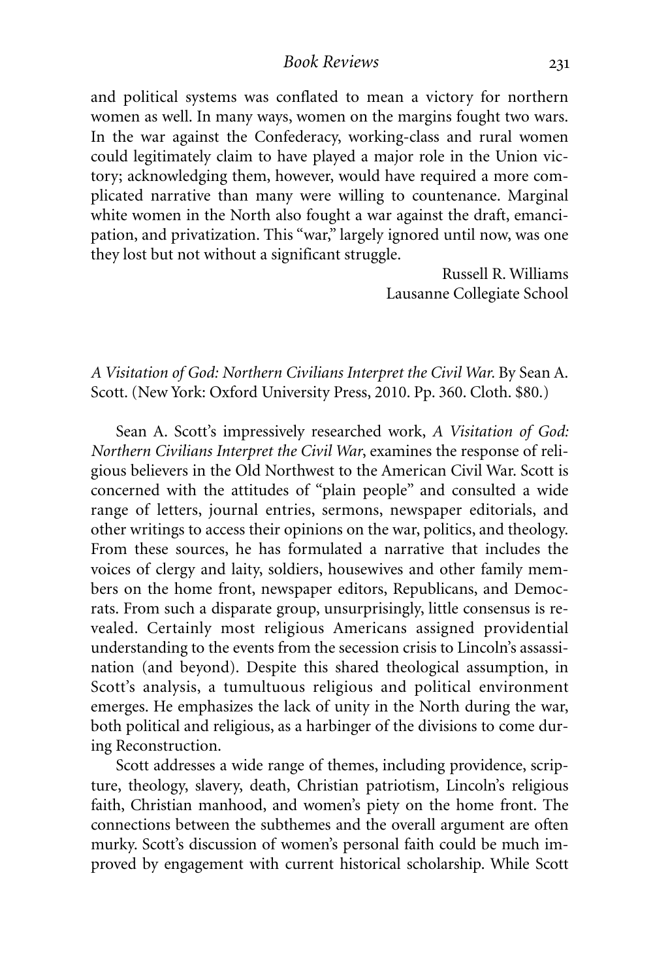and political systems was conflated to mean a victory for northern women as well. In many ways, women on the margins fought two wars. In the war against the Confederacy, working-class and rural women could legitimately claim to have played a major role in the Union victory; acknowledging them, however, would have required a more complicated narrative than many were willing to countenance. Marginal white women in the North also fought a war against the draft, emancipation, and privatization. This "war," largely ignored until now, was one they lost but not without a significant struggle.

> Russell R. Williams Lausanne Collegiate School

*A Visitation of God: Northern Civilians Interpret the Civil War.* By Sean A. Scott. (New York: Oxford University Press, 2010. Pp. 360. Cloth. \$80.)

Sean A. Scott's impressively researched work, *A Visitation of God: Northern Civilians Interpret the Civil War*, examines the response of religious believers in the Old Northwest to the American Civil War. Scott is concerned with the attitudes of "plain people" and consulted a wide range of letters, journal entries, sermons, newspaper editorials, and other writings to access their opinions on the war, politics, and theology. From these sources, he has formulated a narrative that includes the voices of clergy and laity, soldiers, housewives and other family members on the home front, newspaper editors, Republicans, and Democrats. From such a disparate group, unsurprisingly, little consensus is revealed. Certainly most religious Americans assigned providential understanding to the events from the secession crisis to Lincoln's assassination (and beyond). Despite this shared theological assumption, in Scott's analysis, a tumultuous religious and political environment emerges. He emphasizes the lack of unity in the North during the war, both political and religious, as a harbinger of the divisions to come during Reconstruction.

Scott addresses a wide range of themes, including providence, scripture, theology, slavery, death, Christian patriotism, Lincoln's religious faith, Christian manhood, and women's piety on the home front. The connections between the subthemes and the overall argument are often murky. Scott's discussion of women's personal faith could be much improved by engagement with current historical scholarship. While Scott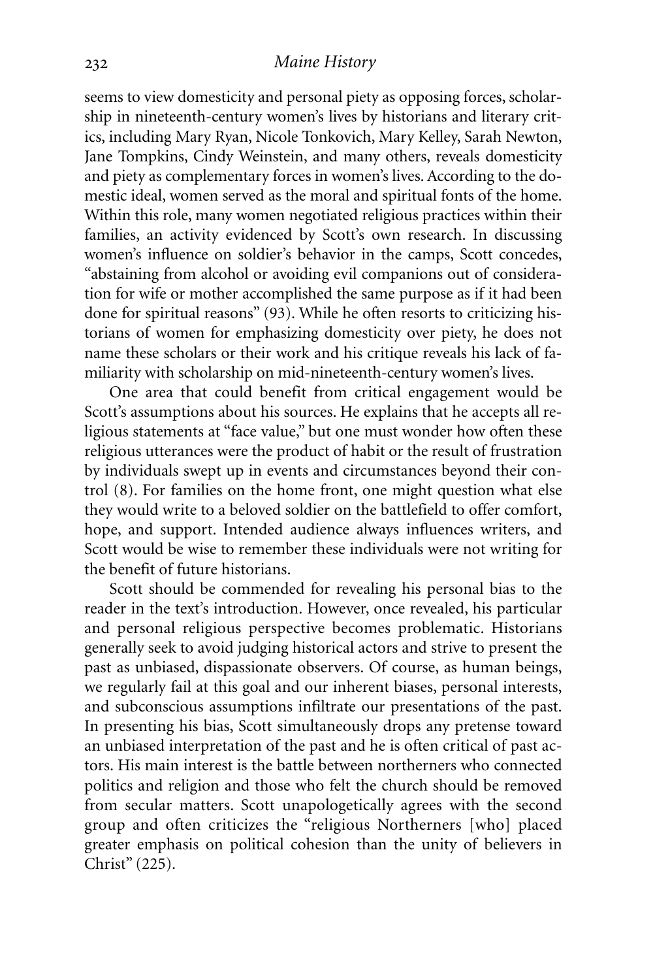seems to view domesticity and personal piety as opposing forces, scholarship in nineteenth-century women's lives by historians and literary critics, including Mary Ryan, Nicole Tonkovich, Mary Kelley, Sarah Newton, Jane Tompkins, Cindy Weinstein, and many others, reveals domesticity and piety as complementary forces in women's lives.According to the domestic ideal, women served as the moral and spiritual fonts of the home. Within this role, many women negotiated religious practices within their families, an activity evidenced by Scott's own research. In discussing women's influence on soldier's behavior in the camps, Scott concedes, "abstaining from alcohol or avoiding evil companions out of consideration for wife or mother accomplished the same purpose as if it had been done for spiritual reasons" (93). While he often resorts to criticizing historians of women for emphasizing domesticity over piety, he does not name these scholars or their work and his critique reveals his lack of familiarity with scholarship on mid-nineteenth-century women's lives.

One area that could benefit from critical engagement would be Scott's assumptions about his sources. He explains that he accepts all religious statements at "face value," but one must wonder how often these religious utterances were the product of habit or the result of frustration by individuals swept up in events and circumstances beyond their control (8). For families on the home front, one might question what else they would write to a beloved soldier on the battlefield to offer comfort, hope, and support. Intended audience always influences writers, and Scott would be wise to remember these individuals were not writing for the benefit of future historians.

Scott should be commended for revealing his personal bias to the reader in the text's introduction. However, once revealed, his particular and personal religious perspective becomes problematic. Historians generally seek to avoid judging historical actors and strive to present the past as unbiased, dispassionate observers. Of course, as human beings, we regularly fail at this goal and our inherent biases, personal interests, and subconscious assumptions infiltrate our presentations of the past. In presenting his bias, Scott simultaneously drops any pretense toward an unbiased interpretation of the past and he is often critical of past actors. His main interest is the battle between northerners who connected politics and religion and those who felt the church should be removed from secular matters. Scott unapologetically agrees with the second group and often criticizes the "religious Northerners [who] placed greater emphasis on political cohesion than the unity of believers in Christ" (225).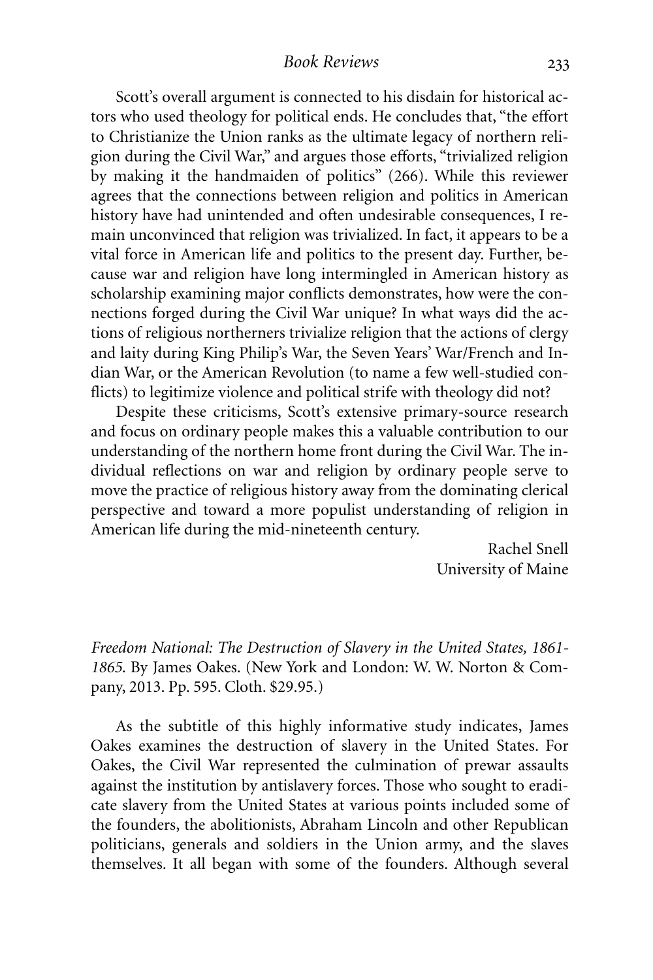Scott's overall argument is connected to his disdain for historical actors who used theology for political ends. He concludes that, "the effort to Christianize the Union ranks as the ultimate legacy of northern religion during the Civil War," and argues those efforts, "trivialized religion by making it the handmaiden of politics" (266). While this reviewer agrees that the connections between religion and politics in American history have had unintended and often undesirable consequences, I remain unconvinced that religion was trivialized. In fact, it appears to be a vital force in American life and politics to the present day. Further, because war and religion have long intermingled in American history as scholarship examining major conflicts demonstrates, how were the connections forged during the Civil War unique? In what ways did the actions of religious northerners trivialize religion that the actions of clergy and laity during King Philip's War, the Seven Years' War/French and Indian War, or the American Revolution (to name a few well-studied conflicts) to legitimize violence and political strife with theology did not?

Despite these criticisms, Scott's extensive primary-source research and focus on ordinary people makes this a valuable contribution to our understanding of the northern home front during the Civil War. The individual reflections on war and religion by ordinary people serve to move the practice of religious history away from the dominating clerical perspective and toward a more populist understanding of religion in American life during the mid-nineteenth century.

> Rachel Snell University of Maine

*Freedom National: The Destruction of Slavery in the United States, 1861- 1865*. By James Oakes. (New York and London: W. W. Norton & Company, 2013. Pp. 595. Cloth. \$29.95.)

As the subtitle of this highly informative study indicates, James Oakes examines the destruction of slavery in the United States. For Oakes, the Civil War represented the culmination of prewar assaults against the institution by antislavery forces. Those who sought to eradicate slavery from the United States at various points included some of the founders, the abolitionists, Abraham Lincoln and other Republican politicians, generals and soldiers in the Union army, and the slaves themselves. It all began with some of the founders. Although several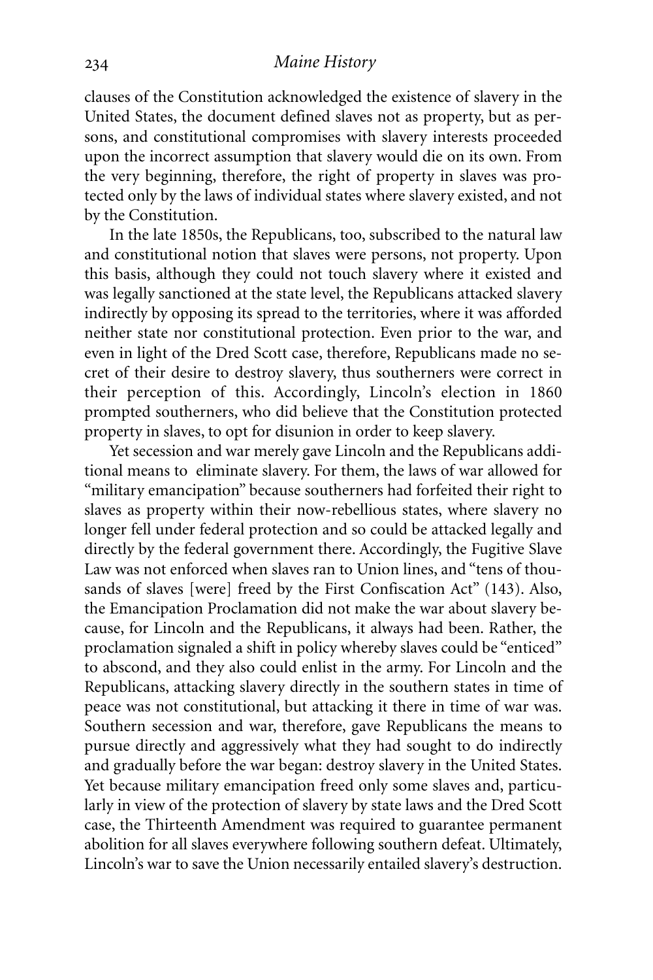clauses of the Constitution acknowledged the existence of slavery in the United States, the document defined slaves not as property, but as persons, and constitutional compromises with slavery interests proceeded upon the incorrect assumption that slavery would die on its own. From the very beginning, therefore, the right of property in slaves was protected only by the laws of individual states where slavery existed, and not by the Constitution.

In the late 1850s, the Republicans, too, subscribed to the natural law and constitutional notion that slaves were persons, not property. Upon this basis, although they could not touch slavery where it existed and was legally sanctioned at the state level, the Republicans attacked slavery indirectly by opposing its spread to the territories, where it was afforded neither state nor constitutional protection. Even prior to the war, and even in light of the Dred Scott case, therefore, Republicans made no secret of their desire to destroy slavery, thus southerners were correct in their perception of this. Accordingly, Lincoln's election in 1860 prompted southerners, who did believe that the Constitution protected property in slaves, to opt for disunion in order to keep slavery.

Yet secession and war merely gave Lincoln and the Republicans additional means to eliminate slavery. For them, the laws of war allowed for "military emancipation" because southerners had forfeited their right to slaves as property within their now-rebellious states, where slavery no longer fell under federal protection and so could be attacked legally and directly by the federal government there. Accordingly, the Fugitive Slave Law was not enforced when slaves ran to Union lines, and "tens of thousands of slaves [were] freed by the First Confiscation Act" (143). Also, the Emancipation Proclamation did not make the war about slavery because, for Lincoln and the Republicans, it always had been. Rather, the proclamation signaled a shift in policy whereby slaves could be "enticed" to abscond, and they also could enlist in the army. For Lincoln and the Republicans, attacking slavery directly in the southern states in time of peace was not constitutional, but attacking it there in time of war was. Southern secession and war, therefore, gave Republicans the means to pursue directly and aggressively what they had sought to do indirectly and gradually before the war began: destroy slavery in the United States. Yet because military emancipation freed only some slaves and, particularly in view of the protection of slavery by state laws and the Dred Scott case, the Thirteenth Amendment was required to guarantee permanent abolition for all slaves everywhere following southern defeat. Ultimately, Lincoln's war to save the Union necessarily entailed slavery's destruction.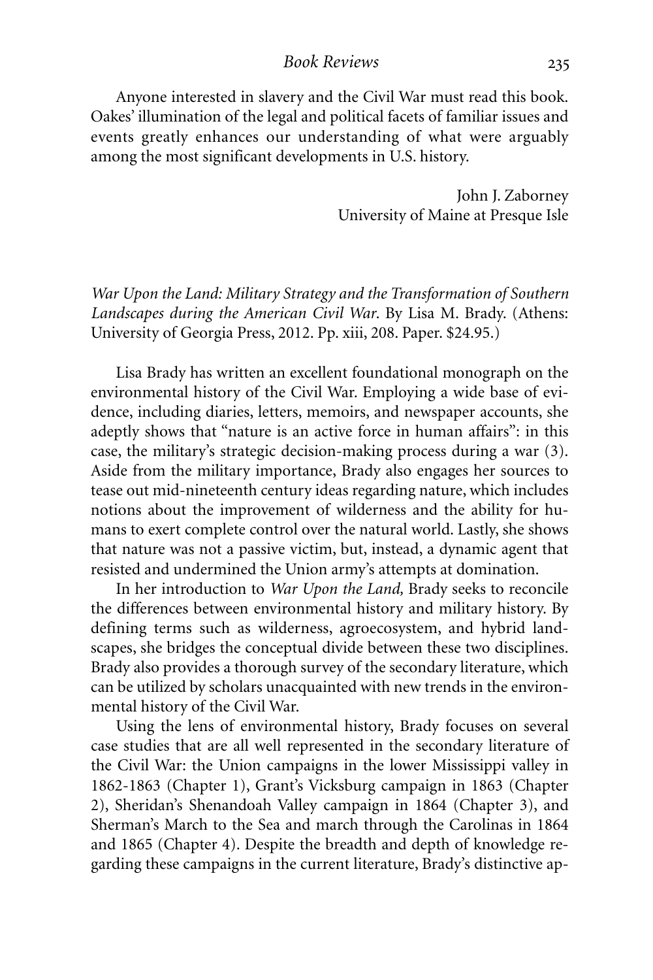#### *Book Reviews*

Anyone interested in slavery and the Civil War must read this book. Oakes' illumination of the legal and political facets of familiar issues and events greatly enhances our understanding of what were arguably among the most significant developments in U.S. history.

> John J. Zaborney University of Maine at Presque Isle

*War Upon the Land: Military Strategy and the Transformation of Southern Landscapes during the American Civil War*. By Lisa M. Brady. (Athens: University of Georgia Press, 2012. Pp. xiii, 208. Paper. \$24.95.)

Lisa Brady has written an excellent foundational monograph on the environmental history of the Civil War. Employing a wide base of evidence, including diaries, letters, memoirs, and newspaper accounts, she adeptly shows that "nature is an active force in human affairs": in this case, the military's strategic decision-making process during a war (3). Aside from the military importance, Brady also engages her sources to tease out mid-nineteenth century ideas regarding nature, which includes notions about the improvement of wilderness and the ability for humans to exert complete control over the natural world. Lastly, she shows that nature was not a passive victim, but, instead, a dynamic agent that resisted and undermined the Union army's attempts at domination.

In her introduction to *War Upon the Land,* Brady seeks to reconcile the differences between environmental history and military history. By defining terms such as wilderness, agroecosystem, and hybrid landscapes, she bridges the conceptual divide between these two disciplines. Brady also provides a thorough survey of the secondary literature, which can be utilized by scholars unacquainted with new trends in the environmental history of the Civil War.

Using the lens of environmental history, Brady focuses on several case studies that are all well represented in the secondary literature of the Civil War: the Union campaigns in the lower Mississippi valley in 1862-1863 (Chapter 1), Grant's Vicksburg campaign in 1863 (Chapter 2), Sheridan's Shenandoah Valley campaign in 1864 (Chapter 3), and Sherman's March to the Sea and march through the Carolinas in 1864 and 1865 (Chapter 4). Despite the breadth and depth of knowledge regarding these campaigns in the current literature, Brady's distinctive ap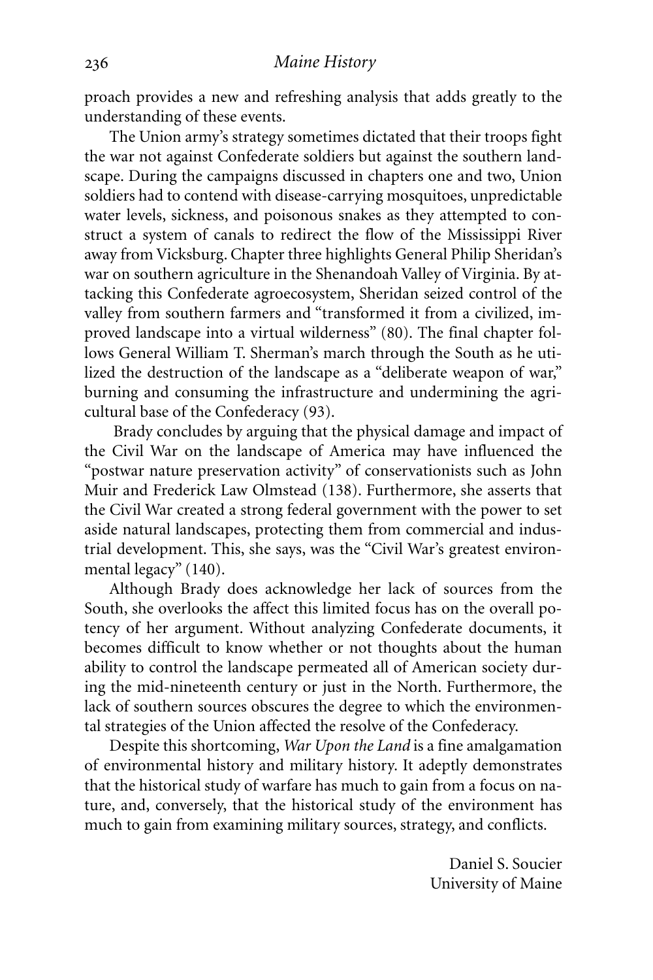proach provides a new and refreshing analysis that adds greatly to the understanding of these events.

The Union army's strategy sometimes dictated that their troops fight the war not against Confederate soldiers but against the southern landscape. During the campaigns discussed in chapters one and two, Union soldiers had to contend with disease-carrying mosquitoes, unpredictable water levels, sickness, and poisonous snakes as they attempted to construct a system of canals to redirect the flow of the Mississippi River away from Vicksburg. Chapter three highlights General Philip Sheridan's war on southern agriculture in the Shenandoah Valley of Virginia. By attacking this Confederate agroecosystem, Sheridan seized control of the valley from southern farmers and "transformed it from a civilized, improved landscape into a virtual wilderness" (80). The final chapter follows General William T. Sherman's march through the South as he utilized the destruction of the landscape as a "deliberate weapon of war," burning and consuming the infrastructure and undermining the agricultural base of the Confederacy (93).

Brady concludes by arguing that the physical damage and impact of the Civil War on the landscape of America may have influenced the "postwar nature preservation activity" of conservationists such as John Muir and Frederick Law Olmstead (138). Furthermore, she asserts that the Civil War created a strong federal government with the power to set aside natural landscapes, protecting them from commercial and industrial development. This, she says, was the "Civil War's greatest environmental legacy" (140).

Although Brady does acknowledge her lack of sources from the South, she overlooks the affect this limited focus has on the overall potency of her argument. Without analyzing Confederate documents, it becomes difficult to know whether or not thoughts about the human ability to control the landscape permeated all of American society during the mid-nineteenth century or just in the North. Furthermore, the lack of southern sources obscures the degree to which the environmental strategies of the Union affected the resolve of the Confederacy.

Despite this shortcoming, *War Upon the Land* is a fine amalgamation of environmental history and military history. It adeptly demonstrates that the historical study of warfare has much to gain from a focus on nature, and, conversely, that the historical study of the environment has much to gain from examining military sources, strategy, and conflicts.

> Daniel S. Soucier University of Maine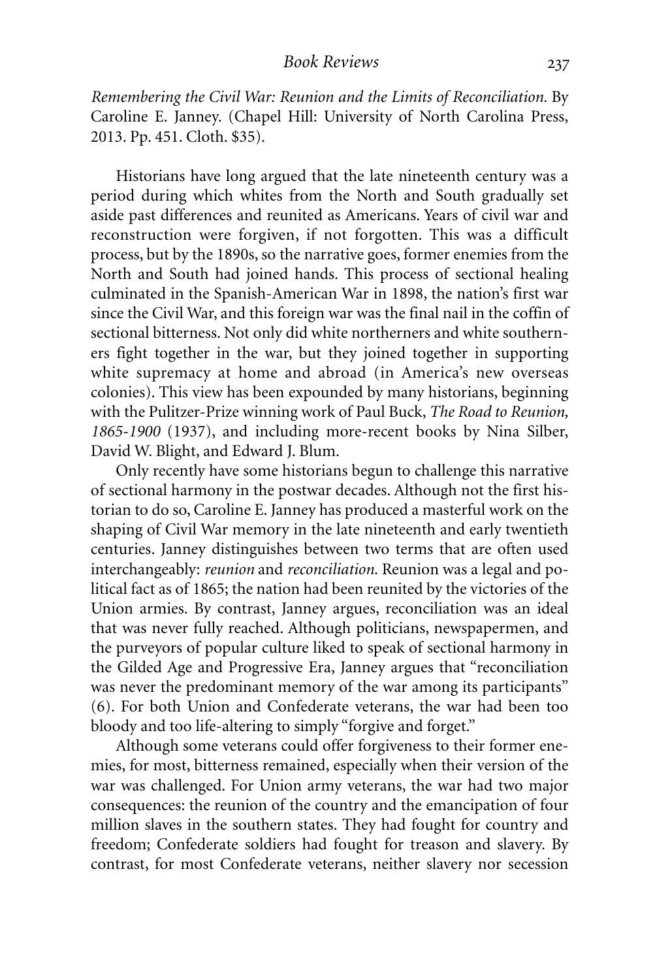*Remembering the Civil War: Reunion and the Limits of Reconciliation.* By Caroline E. Janney. (Chapel Hill: University of North Carolina Press, 2013. Pp. 451. Cloth. \$35).

Historians have long argued that the late nineteenth century was a period during which whites from the North and South gradually set aside past differences and reunited as Americans. Years of civil war and reconstruction were forgiven, if not forgotten. This was a difficult process, but by the 1890s, so the narrative goes, former enemies from the North and South had joined hands. This process of sectional healing culminated in the Spanish-American War in 1898, the nation's first war since the Civil War, and this foreign war was the final nail in the coffin of sectional bitterness. Not only did white northerners and white southerners fight together in the war, but they joined together in supporting white supremacy at home and abroad (in America's new overseas colonies). This view has been expounded by many historians, beginning with the Pulitzer-Prize winning work of Paul Buck, *The Road to Reunion, 1865-1900* (1937), and including more-recent books by Nina Silber, David W. Blight, and Edward J. Blum.

Only recently have some historians begun to challenge this narrative of sectional harmony in the postwar decades. Although not the first historian to do so, Caroline E. Janney has produced a masterful work on the shaping of Civil War memory in the late nineteenth and early twentieth centuries. Janney distinguishes between two terms that are often used interchangeably: *reunion* and *reconciliation*. Reunion was a legal and political fact as of 1865; the nation had been reunited by the victories of the Union armies. By contrast, Janney argues, reconciliation was an ideal that was never fully reached. Although politicians, newspapermen, and the purveyors of popular culture liked to speak of sectional harmony in the Gilded Age and Progressive Era, Janney argues that "reconciliation was never the predominant memory of the war among its participants" (6). For both Union and Confederate veterans, the war had been too bloody and too life-altering to simply "forgive and forget."

Although some veterans could offer forgiveness to their former enemies, for most, bitterness remained, especially when their version of the war was challenged. For Union army veterans, the war had two major consequences: the reunion of the country and the emancipation of four million slaves in the southern states. They had fought for country and freedom; Confederate soldiers had fought for treason and slavery. By contrast, for most Confederate veterans, neither slavery nor secession